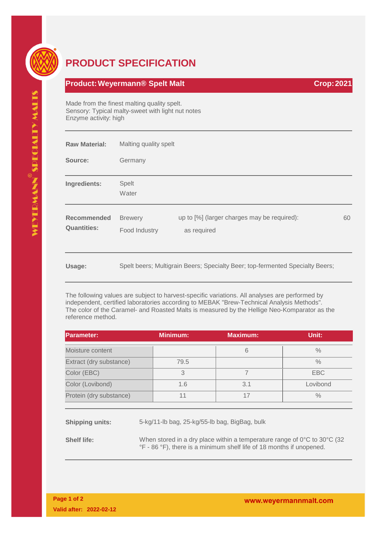## **PRODUCT SPECIFICATION**

## **Product:Weyermann® Spelt Malt Crop:2021**

Made from the finest malting quality spelt. Sensory: Typical malty-sweet with light nut notes Enzyme activity: high

| <b>Raw Material:</b>                     | Malting quality spelt           |                                                                               |    |  |
|------------------------------------------|---------------------------------|-------------------------------------------------------------------------------|----|--|
| Source:                                  | Germany                         |                                                                               |    |  |
| Ingredients:                             | <b>Spelt</b><br>Water           |                                                                               |    |  |
| <b>Recommended</b><br><b>Quantities:</b> | <b>Brewery</b><br>Food Industry | up to [%] (larger charges may be required):<br>as required                    | 60 |  |
| Usage:                                   |                                 | Spelt beers; Multigrain Beers; Specialty Beer; top-fermented Specialty Beers; |    |  |

The following values are subject to harvest-specific variations. All analyses are performed by independent, certified laboratories according to MEBAK "Brew-Technical Analysis Methods". The color of the Caramel- and Roasted Malts is measured by the Hellige Neo-Komparator as the reference method.

| <b>Parameter:</b>       | Minimum: | Maximum: | Unit:      |
|-------------------------|----------|----------|------------|
| Moisture content        |          | 6        | $\%$       |
| Extract (dry substance) | 79.5     |          | $\%$       |
| Color (EBC)             | 3        |          | <b>EBC</b> |
| Color (Lovibond)        | 1.6      | 3.1      | Lovibond   |
| Protein (dry substance) |          | 17       | $\%$       |

**Shipping units:** 5-kg/11-lb bag, 25-kg/55-lb bag, BigBag, bulk

**Shelf life:** When stored in a dry place within a temperature range of 0°C to 30°C (32 °F - 86 °F), there is a minimum shelf life of 18 months if unopened.